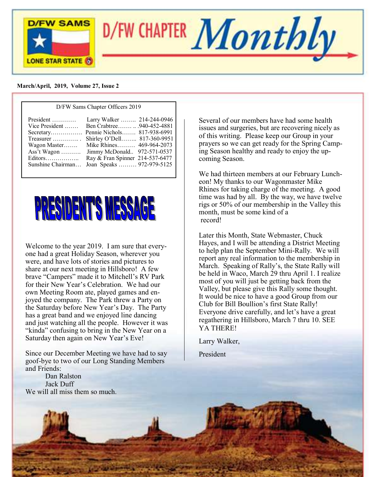

#### **March/April, 2019, Volume 27, Issue 2**

| D/FW Sams Chapter Officers 2019                                                                         |                                                                                                                                                                                                                                                           |  |
|---------------------------------------------------------------------------------------------------------|-----------------------------------------------------------------------------------------------------------------------------------------------------------------------------------------------------------------------------------------------------------|--|
| President<br>Vice President<br>Treasurer<br>Wagon Master<br>Ass't Wagon<br>Editors<br>Sunshine Chairman | Larry Walker  214-244-0946<br>Ben Crabtree940-452-4881<br>Secretary Pennie Nichols 817-938-6991<br>Shirley O'Dell 817-360-9951<br>Mike Rhines 469-964-2073<br>Jimmy McDonald 972-571-0537<br>Ray & Fran Spinner 214-537-6477<br>Joan Speaks  972-979-5125 |  |



Welcome to the year 2019. I am sure that everyone had a great Holiday Season, wherever you were, and have lots of stories and pictures to share at our next meeting in Hillsboro! A few brave "Campers" made it to Mitchell's RV Park for their New Year's Celebration. We had our own Meeting Room ate, played games and enjoyed the company. The Park threw a Party on the Saturday before New Year's Day. The Party has a great band and we enjoyed line dancing and just watching all the people. However it was "kinda" confusing to bring in the New Year on a Saturday then again on New Year's Eve!

Since our December Meeting we have had to say goof-bye to two of our Long Standing Members and Friends:

 Dan Ralston Jack Duff We will all miss them so much. Several of our members have had some health issues and surgeries, but are recovering nicely as of this writing. Please keep our Group in your prayers so we can get ready for the Spring Camping Season healthy and ready to enjoy the upcoming Season.

We had thirteen members at our February Luncheon! My thanks to our Wagonmaster Mike Rhines for taking charge of the meeting. A good time was had by all. By the way, we have twelve rigs or 50% of our membership in the Valley this month, must be some kind of a record!

Later this Month, State Webmaster, Chuck Hayes, and I will be attending a District Meeting to help plan the September Mini-Rally. We will report any real information to the membership in March. Speaking of Rally's, the State Rally will be held in Waco, March 29 thru April 1. I realize most of you will just be getting back from the Valley, but please give this Rally some thought. It would be nice to have a good Group from our Club for Bill Boullion's first State Rally! Everyone drive carefully, and let's have a great regathering in Hillsboro, March 7 thru 10. SEE YA THERE!

Larry Walker,

President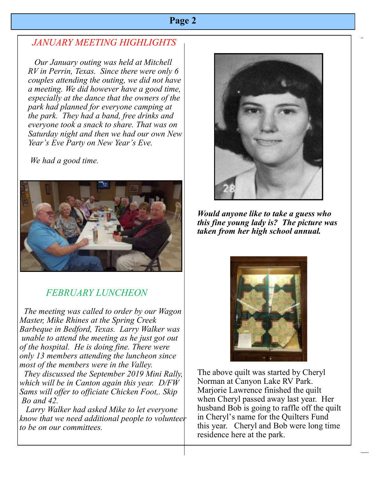## *JANUARY MEETING HIGHLIGHTS*

 *Our January outing was held at Mitchell RV in Perrin, Texas. Since there were only 6 couples attending the outing, we did not have a meeting. We did however have a good time, especially at the dance that the owners of the park had planned for everyone camping at the park. They had a band, free drinks and everyone took a snack to share. That was on Saturday night and then we had our own New Year's Eve Party on New Year's Eve.* 

 *We had a good time.* 



# *FEBRUARY LUNCHEON*

 *The meeting was called to order by our Wagon Master, Mike Rhines at the Spring Creek Barbeque in Bedford, Texas. Larry Walker was unable to attend the meeting as he just got out of the hospital. He is doing fine. There were only 13 members attending the luncheon since most of the members were in the Valley.* 

 *They discussed the September 2019 Mini Rally, which will be in Canton again this year. D/FW Sams will offer to officiate Chicken Foot,. Skip Bo and 42.*

 *Larry Walker had asked Mike to let everyone know that we need additional people to volunteer to be on our committees.*



*Would anyone like to take a guess who this fine young lady is? The picture was taken from her high school annual.*



The above quilt was started by Cheryl Norman at Canyon Lake RV Park. Marjorie Lawrence finished the quilt when Cheryl passed away last year. Her husband Bob is going to raffle off the quilt in Cheryl's name for the Quilters Fund this year. Cheryl and Bob were long time residence here at the park.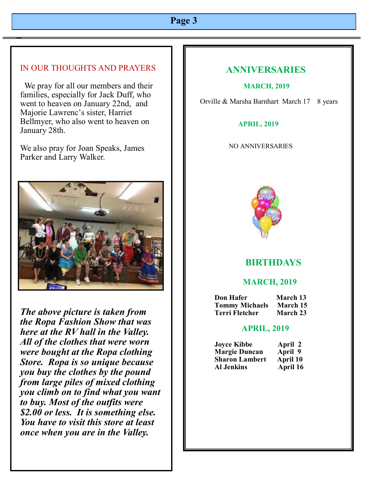### IN OUR THOUGHTS AND PRAYERS

 We pray for all our members and their families, especially for Jack Duff, who went to heaven on January 22nd, and Majorie Lawrenc's sister, Harriet Bellmyer, who also went to heaven on January 28th.

We also pray for Joan Speaks, James Parker and Larry Walker.



*The above picture is taken from the Ropa Fashion Show that was here at the RV hall in the Valley. All of the clothes that were worn were bought at the Ropa clothing Store. Ropa is so unique because you buy the clothes by the pound from large piles of mixed clothing you climb on to find what you want to buy. Most of the outfits were \$2.00 or less. It is something else. You have to visit this store at least once when you are in the Valley.*

### **ANNIVERSARIES**

#### **MARCH, 2019**

Orville & Marsha Barnhart March 17 8 years

#### **APRIL, 2019**

#### NO ANNIVERSARIES



### **BIRTHDAYS**

#### **MARCH, 2019**

| <b>Don Hafer</b>      | March 13 |
|-----------------------|----------|
| <b>Tommy Michaels</b> | March 15 |
| Terri Fletcher        | March 23 |

#### **APRIL, 2019**

| <b>Joyce Kibbe</b>    | April 2  |
|-----------------------|----------|
| <b>Margie Duncan</b>  | April 9  |
| <b>Sharon Lambert</b> | April 10 |
| <b>Al Jenkins</b>     | April 16 |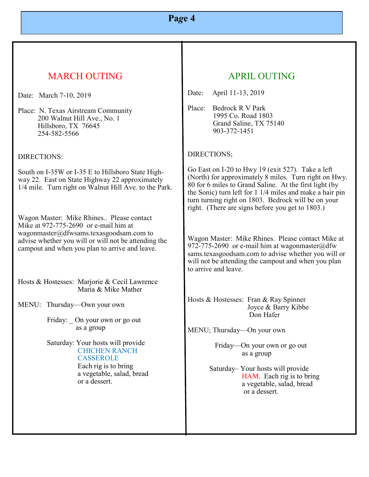# MARCH OUTING

Date: March 7-10, 2019

Place: N. Texas Airstream Community 200 Walnut Hill Ave., No. 1 Hillsboro, TX 76645 254-582-5566

DIRECTIONS:

South on I-35W or I-35 E to Hillsboro State Highway 22. East on State Highway 22 approximately 1/4 mile. Turn right on Walnut Hill Ave. to the Park.

Wagon Master: Mike Rhines.. Please contact Mike at 972-775-2690 or e-mail him at wagonmaster@dfwsams.texasgoodsam.com to advise whether you will or will not be attending the campout and when you plan to arrive and leave.

Hosts & Hostesses: Marjorie & Cecil Lawrence Maria & Mike Mather

MENU: Thursday—Own your own

Friday: On your own or go out as a group

 Saturday: Your hosts will provide CHICHEN RANCH **CASSEROLE** 

> Each rig is to bring a vegetable, salad, bread or a dessert.

## APRIL OUTING

Date: April 11-13, 2019

Place: Bedrock R V Park 1995 Co. Road 1803 Grand Saline, TX 75140 903-372-1451

#### DIRECTIONS;

Go East on I-20 to Hwy 19 (exit 527). Take a left (North) for approximately 8 miles. Turn right on Hwy. 80 for 6 miles to Grand Saline. At the first light (by the Sonic) turn left for 1 1/4 miles and make a hair pin turn turning right on 1803. Bedrock will be on your right. (There are signs before you get to 1803.)

Wagon Master: Mike Rhines. Please contact Mike at 972-775-2690 or e-mail him at wagonmaster@dfw sams.texasgoodsam.com to advise whether you will or will not be attending the campout and when you plan to arrive and leave.

Hosts & Hostesses: Fran & Ray Spinner Joyce & Barry Kibbe Don Hafer

MENU; Thursday—On your own

 Friday—On your own or go out as a group

 Saturday– Your hosts will provide HAM. Each rig is to bring a vegetable, salad, bread or a dessert.